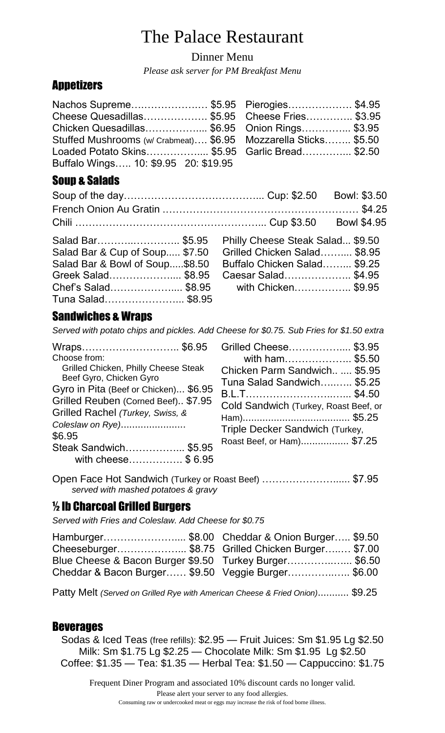# The Palace Restaurant

Dinner Menu

*Please ask server for PM Breakfast Menu*

# **Appetizers**

| Nachos Supreme\$5.95 Pierogies\$4.95                            |  |  |
|-----------------------------------------------------------------|--|--|
| Cheese Quesadillas \$5.95     Cheese Fries \$3.95               |  |  |
|                                                                 |  |  |
| Stuffed Mushrooms (w/ Crabmeat) \$6.95 Mozzarella Sticks \$5.50 |  |  |
| Loaded Potato Skins\$5.95    Garlic Bread\$2.50                 |  |  |
| Buffalo Wings 10: \$9.95 20: \$19.95                            |  |  |

# Soup & Salads

|                                |                                  | Bowl: \$3.50       |
|--------------------------------|----------------------------------|--------------------|
|                                |                                  |                    |
|                                |                                  | <b>Bowl \$4.95</b> |
| Salad Bar\$5.95                | Philly Cheese Steak Salad \$9.50 |                    |
| Salad Bar & Cup of Soup \$7.50 | Grilled Chicken Salad \$8.95     |                    |
| Salad Bar & Bowl of Soup\$8.50 | Buffalo Chicken Salad \$9.25     |                    |
| Greek Salad\$8.95              | Caesar Salad\$4.95               |                    |
| Chef's Salad\$8.95             | with Chicken \$9.95              |                    |
| Tuna Salad\$8.95               |                                  |                    |

# Sandwiches & Wraps

*Served with potato chips and pickles. Add Cheese for \$0.75. Sub Fries for \$1.50 extra*

| Wraps \$6.95 Grilled                  |                |
|---------------------------------------|----------------|
| Choose from:                          | W              |
| Grilled Chicken, Philly Cheese Steak  | Chicke         |
| Beef Gyro, Chicken Gyro               | Tuna S         |
| Gyro in Pita (Beef or Chicken) \$6.95 | B.L.T          |
| Grilled Reuben (Corned Beef) \$7.95   | Cold S         |
| Grilled Rachel (Turkey, Swiss, &      |                |
| Coleslaw on Rye)                      | Ham)           |
| \$6.95                                | Triple I       |
|                                       | <b>Roast B</b> |
| Steak Sandwich \$5.95                 |                |
| with cheese\$ 6.95                    |                |

| Grilled Cheese \$3.95                 |  |
|---------------------------------------|--|
| with ham \$5.50                       |  |
| Chicken Parm Sandwich  \$5.95         |  |
| Tuna Salad Sandwich……… \$5.25         |  |
|                                       |  |
| Cold Sandwich (Turkey, Roast Beef, or |  |
|                                       |  |
| Triple Decker Sandwich (Turkey,       |  |
| Roast Beef, or Ham) \$7.25            |  |
|                                       |  |

Open Face Hot Sandwich (Turkey or Roast Beef) …………………...... \$7.95  *served with mashed potatoes & gravy*

# ½ lb Charcoal Grilled Burgers

*Served with Fries and Coleslaw. Add Cheese for \$0.75*

| Hamburger\$8.00 Cheddar & Onion Burger \$9.50          |  |
|--------------------------------------------------------|--|
| Cheeseburger\$8.75 Grilled Chicken Burger \$7.00       |  |
| Blue Cheese & Bacon Burger \$9.50 Turkey Burger \$6.50 |  |
| Cheddar & Bacon Burger \$9.50 Veggie Burger \$6.00     |  |
|                                                        |  |

Patty Melt *(Served on Grilled Rye with American Cheese & Fried Onion)*........... \$9.25

## Beverages

Sodas & Iced Teas (free refills): \$2.95 — Fruit Juices: Sm \$1.95 Lg \$2.50 Milk: Sm \$1.75 Lg \$2.25 — Chocolate Milk: Sm \$1.95 Lg \$2.50 Coffee: \$1.35 — Tea: \$1.35 — Herbal Tea: \$1.50 — Cappuccino: \$1.75

Frequent Diner Program and associated 10% discount cards no longer valid. Please alert your server to any food allergies. Consuming raw or undercooked meat or eggs may increase the risk of food borne illness.